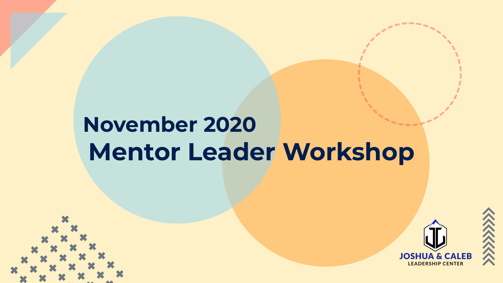## **November 2020 Mentor Leader Workshop**



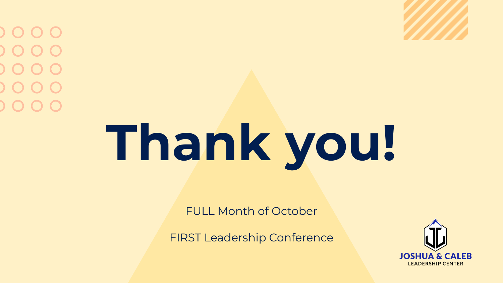# **Thank you!**

FULL Month of October

FIRST Leadership Conference

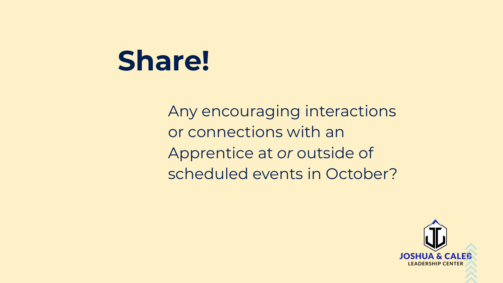## **Share!**

Any encouraging interactions or connections with an Apprentice at *or* outside of scheduled events in October?

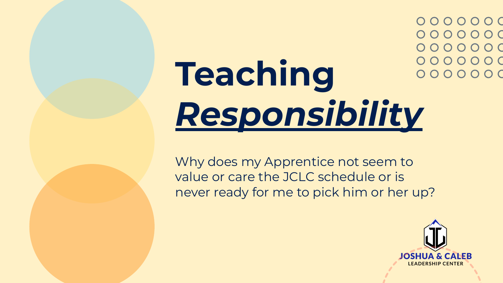0000000 0000000 0000000 0000000 0000000

## **Teaching**  *Responsibility*

Why does my Apprentice not seem to value or care the JCLC schedule or is never ready for me to pick him or her up?

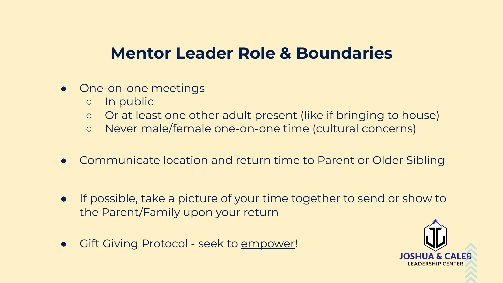#### **Mentor Leader Role & Boundaries**

- One-on-one meetings
	- In public
	- Or at least one other adult present (like if bringing to house)
	- Never male/female one-on-one time (cultural concerns)
- Communicate location and return time to Parent or Older Sibling
- If possible, take a picture of your time together to send or show to the Parent/Family upon your return
- Gift Giving Protocol seek to empower!

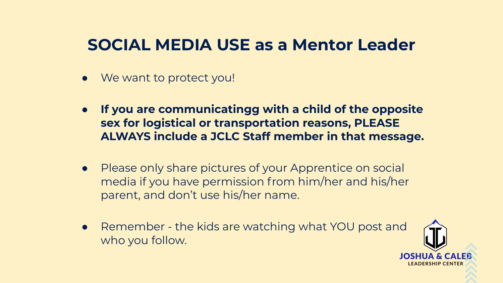#### **SOCIAL MEDIA USE as a Mentor Leader**

- We want to protect you!
- **If you are communicatingg with a child of the opposite sex for logistical or transportation reasons, PLEASE ALWAYS include a JCLC Staff member in that message.**
- Please only share pictures of your Apprentice on social media if you have permission from him/her and his/her parent, and don't use his/her name.
- Remember the kids are watching what YOU post and who you follow.

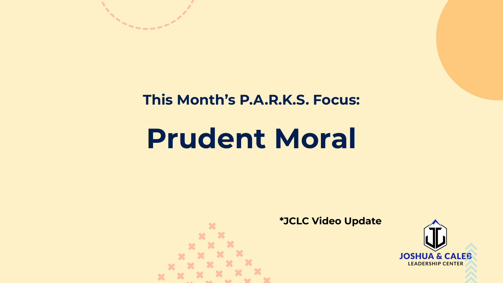

## **Prudent Moral**



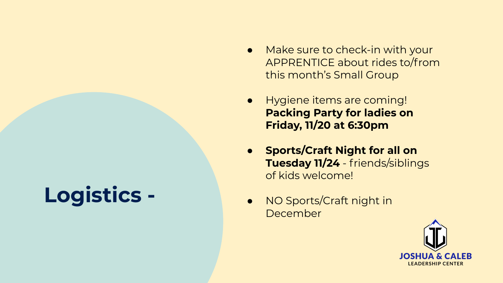### **Logistics -**

- Make sure to check-in with your APPRENTICE about rides to/from this month's Small Group
- Hygiene items are coming! **Packing Party for ladies on Friday, 11/20 at 6:30pm**
- **Sports/Craft Night for all on Tuesday 11/24** - friends/siblings of kids welcome!
- NO Sports/Craft night in December